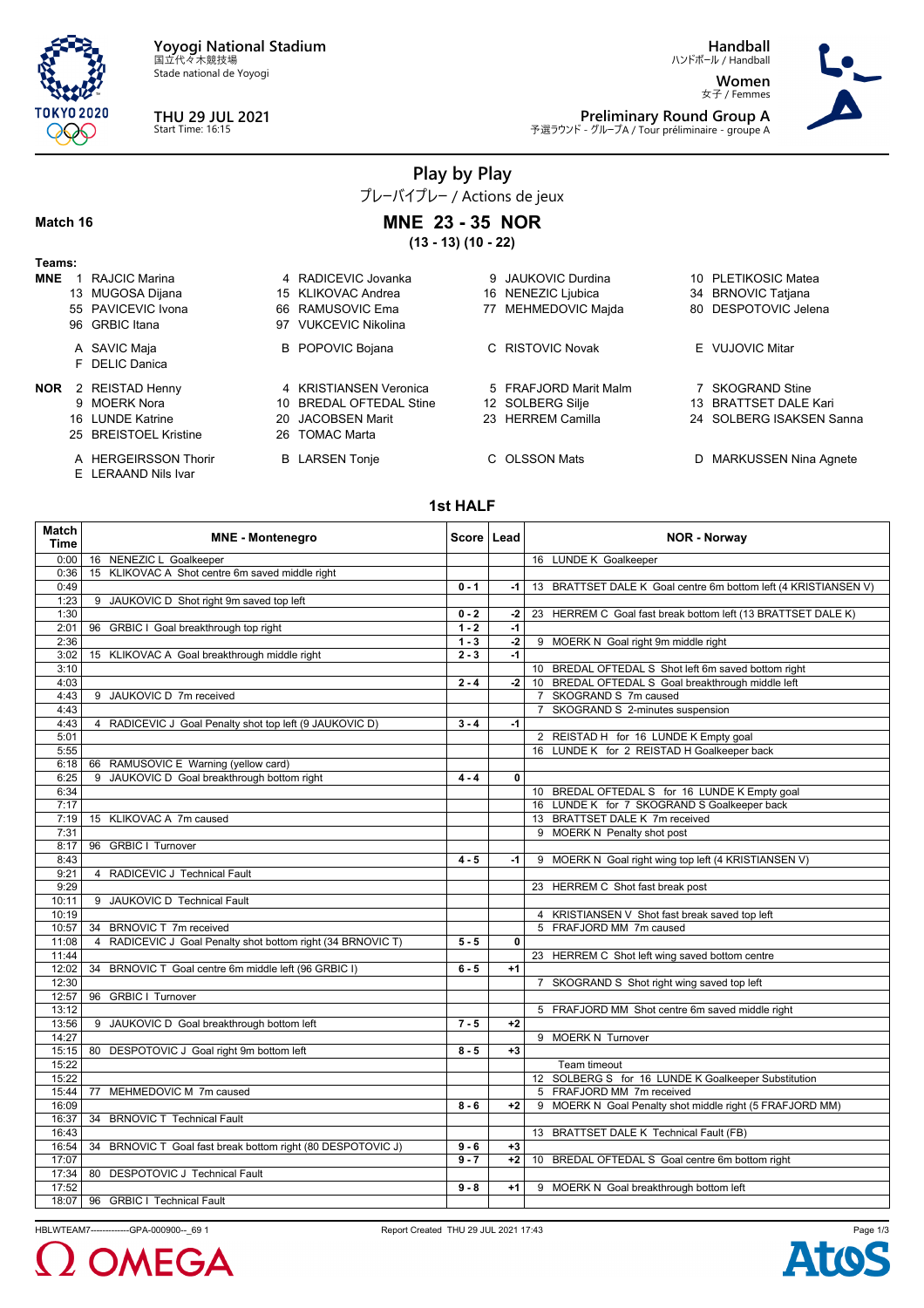

Stade national de Yoyogi



**Handball**

ハンドボール / Handball **Women** 女子 / Femmes



**Preliminary Round Group A** 予選ラウンド - グループA / Tour préliminaire - groupe A

## **Play by Play**

プレーバイプレー / Actions de jeux

#### **Match 16**

E LERAAND Nils Ivar

**MNE 23 - 35 NOR (13 - 13) (10 - 22)**

| Teams:     |                       |                         |                       |                          |
|------------|-----------------------|-------------------------|-----------------------|--------------------------|
| <b>MNE</b> | RAJCIC Marina         | 4 RADICEVIC Jovanka     | 9 JAUKOVIC Durdina    | 10 PLETIKOSIC Matea      |
|            | 13 MUGOSA Dijana      | 15 KLIKOVAC Andrea      | 16 NENEZIC Ljubica    | 34 BRNOVIC Tatjana       |
|            | 55 PAVICEVIC Ivona    | 66 RAMUSOVIC Ema        | 77 MEHMEDOVIC Majda   | 80 DESPOTOVIC Jelena     |
|            | 96 GRBIC Itana        | 97 VUKCEVIC Nikolina    |                       |                          |
|            | A SAVIC Maja          | <b>B</b> POPOVIC Bojana | C RISTOVIC Novak      | E VUJOVIC Mitar          |
|            | F DELIC Danica        |                         |                       |                          |
| NOR        | 2 REISTAD Henny       | 4 KRISTIANSEN Veronica  | 5 FRAFJORD Marit Malm | 7 SKOGRAND Stine         |
|            | 9 MOERK Nora          | 10 BREDAL OFTEDAL Stine | 12 SOLBERG Silje      | 13 BRATTSET DALE Kari    |
|            | 16 LUNDE Katrine      | 20 JACOBSEN Marit       | 23 HERREM Camilla     | 24 SOLBERG ISAKSEN Sanna |
|            | 25 BREISTOEL Kristine | 26 TOMAC Marta          |                       |                          |
|            | A HERGEIRSSON Thorir  | <b>B</b> LARSEN Tonje   | C OLSSON Mats         | D MARKUSSEN Nina Agnete  |

## **1st HALF**

| 16 NENEZIC L Goalkeeper<br>16 LUNDE K Goalkeeper<br>0:00<br>15 KLIKOVAC A Shot centre 6m saved middle right<br>0:36<br>0:49<br>$0 - 1$<br>-1 l<br>1:23<br>9 JAUKOVIC D Shot right 9m saved top left<br>1:30<br>$0 - 2$<br>23 HERREM C Goal fast break bottom left (13 BRATTSET DALE K)<br>-2<br>2:01<br>96 GRBIC I Goal breakthrough top right<br>$1 - 2$<br>$-1$<br>$\overline{2}$<br>$1 - 3$<br>2:36<br>9 MOERK N Goal right 9m middle right<br>15 KLIKOVAC A Goal breakthrough middle right<br>$2 - 3$<br>$-1$<br>3:02<br>10 BREDAL OFTEDAL S Shot left 6m saved bottom right<br>3:10<br>$2 - 4$<br>10 BREDAL OFTEDAL S Goal breakthrough middle left<br>4:03<br>$-2$<br>9 JAUKOVIC D 7m received<br>7 SKOGRAND S 7m caused<br>4:43<br>7 SKOGRAND S 2-minutes suspension<br>4:43<br>4:43<br>4 RADICEVIC J Goal Penalty shot top left (9 JAUKOVIC D)<br>$3 - 4$<br>$-1$<br>5:01<br>2 REISTAD H for 16 LUNDE K Empty goal<br>5:55<br>16 LUNDE K for 2 REISTAD H Goalkeeper back<br>6:18<br>66 RAMUSOVIC E Warning (yellow card)<br>6:25<br>9 JAUKOVIC D Goal breakthrough bottom right<br>0<br>$4 - 4$<br>6:34<br>10 BREDAL OFTEDAL S for 16 LUNDE K Empty goal<br>16 LUNDE K for 7 SKOGRAND S Goalkeeper back<br>7:17<br>13 BRATTSET DALE K 7m received<br>15 KLIKOVAC A 7m caused<br>7:19<br>9 MOERK N Penalty shot post<br>7:31<br>96 GRBIC I Turnover<br>8:17<br>$4 - 5$<br>9 MOERK N Goal right wing top left (4 KRISTIANSEN V)<br>8:43<br>$-1$<br>9:21<br>4 RADICEVIC J Technical Fault<br>9:29<br>23 HERREM C Shot fast break post<br>10:11<br>9 JAUKOVIC D Technical Fault<br>10:19<br>4 KRISTIANSEN V Shot fast break saved top left<br>5 FRAFJORD MM 7m caused<br>34 BRNOVIC T 7m received<br>10:57<br>4 RADICEVIC J Goal Penalty shot bottom right (34 BRNOVIC T)<br>0<br>11:08<br>$5 - 5$<br>11:44<br>23 HERREM C Shot left wing saved bottom centre<br>12:02<br>34 BRNOVIC T Goal centre 6m middle left (96 GRBIC I)<br>$6 - 5$<br>$+1$ | <b>Match</b><br><b>Time</b> | <b>MNE - Montenegro</b> | Score Lead | <b>NOR - Norway</b>                                             |
|-------------------------------------------------------------------------------------------------------------------------------------------------------------------------------------------------------------------------------------------------------------------------------------------------------------------------------------------------------------------------------------------------------------------------------------------------------------------------------------------------------------------------------------------------------------------------------------------------------------------------------------------------------------------------------------------------------------------------------------------------------------------------------------------------------------------------------------------------------------------------------------------------------------------------------------------------------------------------------------------------------------------------------------------------------------------------------------------------------------------------------------------------------------------------------------------------------------------------------------------------------------------------------------------------------------------------------------------------------------------------------------------------------------------------------------------------------------------------------------------------------------------------------------------------------------------------------------------------------------------------------------------------------------------------------------------------------------------------------------------------------------------------------------------------------------------------------------------------------------------------------------------------------------------------------------------------------|-----------------------------|-------------------------|------------|-----------------------------------------------------------------|
|                                                                                                                                                                                                                                                                                                                                                                                                                                                                                                                                                                                                                                                                                                                                                                                                                                                                                                                                                                                                                                                                                                                                                                                                                                                                                                                                                                                                                                                                                                                                                                                                                                                                                                                                                                                                                                                                                                                                                       |                             |                         |            |                                                                 |
|                                                                                                                                                                                                                                                                                                                                                                                                                                                                                                                                                                                                                                                                                                                                                                                                                                                                                                                                                                                                                                                                                                                                                                                                                                                                                                                                                                                                                                                                                                                                                                                                                                                                                                                                                                                                                                                                                                                                                       |                             |                         |            |                                                                 |
|                                                                                                                                                                                                                                                                                                                                                                                                                                                                                                                                                                                                                                                                                                                                                                                                                                                                                                                                                                                                                                                                                                                                                                                                                                                                                                                                                                                                                                                                                                                                                                                                                                                                                                                                                                                                                                                                                                                                                       |                             |                         |            | 13 BRATTSET DALE K Goal centre 6m bottom left (4 KRISTIANSEN V) |
|                                                                                                                                                                                                                                                                                                                                                                                                                                                                                                                                                                                                                                                                                                                                                                                                                                                                                                                                                                                                                                                                                                                                                                                                                                                                                                                                                                                                                                                                                                                                                                                                                                                                                                                                                                                                                                                                                                                                                       |                             |                         |            |                                                                 |
|                                                                                                                                                                                                                                                                                                                                                                                                                                                                                                                                                                                                                                                                                                                                                                                                                                                                                                                                                                                                                                                                                                                                                                                                                                                                                                                                                                                                                                                                                                                                                                                                                                                                                                                                                                                                                                                                                                                                                       |                             |                         |            |                                                                 |
|                                                                                                                                                                                                                                                                                                                                                                                                                                                                                                                                                                                                                                                                                                                                                                                                                                                                                                                                                                                                                                                                                                                                                                                                                                                                                                                                                                                                                                                                                                                                                                                                                                                                                                                                                                                                                                                                                                                                                       |                             |                         |            |                                                                 |
|                                                                                                                                                                                                                                                                                                                                                                                                                                                                                                                                                                                                                                                                                                                                                                                                                                                                                                                                                                                                                                                                                                                                                                                                                                                                                                                                                                                                                                                                                                                                                                                                                                                                                                                                                                                                                                                                                                                                                       |                             |                         |            |                                                                 |
|                                                                                                                                                                                                                                                                                                                                                                                                                                                                                                                                                                                                                                                                                                                                                                                                                                                                                                                                                                                                                                                                                                                                                                                                                                                                                                                                                                                                                                                                                                                                                                                                                                                                                                                                                                                                                                                                                                                                                       |                             |                         |            |                                                                 |
|                                                                                                                                                                                                                                                                                                                                                                                                                                                                                                                                                                                                                                                                                                                                                                                                                                                                                                                                                                                                                                                                                                                                                                                                                                                                                                                                                                                                                                                                                                                                                                                                                                                                                                                                                                                                                                                                                                                                                       |                             |                         |            |                                                                 |
|                                                                                                                                                                                                                                                                                                                                                                                                                                                                                                                                                                                                                                                                                                                                                                                                                                                                                                                                                                                                                                                                                                                                                                                                                                                                                                                                                                                                                                                                                                                                                                                                                                                                                                                                                                                                                                                                                                                                                       |                             |                         |            |                                                                 |
|                                                                                                                                                                                                                                                                                                                                                                                                                                                                                                                                                                                                                                                                                                                                                                                                                                                                                                                                                                                                                                                                                                                                                                                                                                                                                                                                                                                                                                                                                                                                                                                                                                                                                                                                                                                                                                                                                                                                                       |                             |                         |            |                                                                 |
|                                                                                                                                                                                                                                                                                                                                                                                                                                                                                                                                                                                                                                                                                                                                                                                                                                                                                                                                                                                                                                                                                                                                                                                                                                                                                                                                                                                                                                                                                                                                                                                                                                                                                                                                                                                                                                                                                                                                                       |                             |                         |            |                                                                 |
|                                                                                                                                                                                                                                                                                                                                                                                                                                                                                                                                                                                                                                                                                                                                                                                                                                                                                                                                                                                                                                                                                                                                                                                                                                                                                                                                                                                                                                                                                                                                                                                                                                                                                                                                                                                                                                                                                                                                                       |                             |                         |            |                                                                 |
|                                                                                                                                                                                                                                                                                                                                                                                                                                                                                                                                                                                                                                                                                                                                                                                                                                                                                                                                                                                                                                                                                                                                                                                                                                                                                                                                                                                                                                                                                                                                                                                                                                                                                                                                                                                                                                                                                                                                                       |                             |                         |            |                                                                 |
|                                                                                                                                                                                                                                                                                                                                                                                                                                                                                                                                                                                                                                                                                                                                                                                                                                                                                                                                                                                                                                                                                                                                                                                                                                                                                                                                                                                                                                                                                                                                                                                                                                                                                                                                                                                                                                                                                                                                                       |                             |                         |            |                                                                 |
|                                                                                                                                                                                                                                                                                                                                                                                                                                                                                                                                                                                                                                                                                                                                                                                                                                                                                                                                                                                                                                                                                                                                                                                                                                                                                                                                                                                                                                                                                                                                                                                                                                                                                                                                                                                                                                                                                                                                                       |                             |                         |            |                                                                 |
|                                                                                                                                                                                                                                                                                                                                                                                                                                                                                                                                                                                                                                                                                                                                                                                                                                                                                                                                                                                                                                                                                                                                                                                                                                                                                                                                                                                                                                                                                                                                                                                                                                                                                                                                                                                                                                                                                                                                                       |                             |                         |            |                                                                 |
|                                                                                                                                                                                                                                                                                                                                                                                                                                                                                                                                                                                                                                                                                                                                                                                                                                                                                                                                                                                                                                                                                                                                                                                                                                                                                                                                                                                                                                                                                                                                                                                                                                                                                                                                                                                                                                                                                                                                                       |                             |                         |            |                                                                 |
|                                                                                                                                                                                                                                                                                                                                                                                                                                                                                                                                                                                                                                                                                                                                                                                                                                                                                                                                                                                                                                                                                                                                                                                                                                                                                                                                                                                                                                                                                                                                                                                                                                                                                                                                                                                                                                                                                                                                                       |                             |                         |            |                                                                 |
|                                                                                                                                                                                                                                                                                                                                                                                                                                                                                                                                                                                                                                                                                                                                                                                                                                                                                                                                                                                                                                                                                                                                                                                                                                                                                                                                                                                                                                                                                                                                                                                                                                                                                                                                                                                                                                                                                                                                                       |                             |                         |            |                                                                 |
|                                                                                                                                                                                                                                                                                                                                                                                                                                                                                                                                                                                                                                                                                                                                                                                                                                                                                                                                                                                                                                                                                                                                                                                                                                                                                                                                                                                                                                                                                                                                                                                                                                                                                                                                                                                                                                                                                                                                                       |                             |                         |            |                                                                 |
|                                                                                                                                                                                                                                                                                                                                                                                                                                                                                                                                                                                                                                                                                                                                                                                                                                                                                                                                                                                                                                                                                                                                                                                                                                                                                                                                                                                                                                                                                                                                                                                                                                                                                                                                                                                                                                                                                                                                                       |                             |                         |            |                                                                 |
|                                                                                                                                                                                                                                                                                                                                                                                                                                                                                                                                                                                                                                                                                                                                                                                                                                                                                                                                                                                                                                                                                                                                                                                                                                                                                                                                                                                                                                                                                                                                                                                                                                                                                                                                                                                                                                                                                                                                                       |                             |                         |            |                                                                 |
|                                                                                                                                                                                                                                                                                                                                                                                                                                                                                                                                                                                                                                                                                                                                                                                                                                                                                                                                                                                                                                                                                                                                                                                                                                                                                                                                                                                                                                                                                                                                                                                                                                                                                                                                                                                                                                                                                                                                                       |                             |                         |            |                                                                 |
|                                                                                                                                                                                                                                                                                                                                                                                                                                                                                                                                                                                                                                                                                                                                                                                                                                                                                                                                                                                                                                                                                                                                                                                                                                                                                                                                                                                                                                                                                                                                                                                                                                                                                                                                                                                                                                                                                                                                                       |                             |                         |            |                                                                 |
|                                                                                                                                                                                                                                                                                                                                                                                                                                                                                                                                                                                                                                                                                                                                                                                                                                                                                                                                                                                                                                                                                                                                                                                                                                                                                                                                                                                                                                                                                                                                                                                                                                                                                                                                                                                                                                                                                                                                                       |                             |                         |            |                                                                 |
|                                                                                                                                                                                                                                                                                                                                                                                                                                                                                                                                                                                                                                                                                                                                                                                                                                                                                                                                                                                                                                                                                                                                                                                                                                                                                                                                                                                                                                                                                                                                                                                                                                                                                                                                                                                                                                                                                                                                                       |                             |                         |            |                                                                 |
|                                                                                                                                                                                                                                                                                                                                                                                                                                                                                                                                                                                                                                                                                                                                                                                                                                                                                                                                                                                                                                                                                                                                                                                                                                                                                                                                                                                                                                                                                                                                                                                                                                                                                                                                                                                                                                                                                                                                                       |                             |                         |            |                                                                 |
|                                                                                                                                                                                                                                                                                                                                                                                                                                                                                                                                                                                                                                                                                                                                                                                                                                                                                                                                                                                                                                                                                                                                                                                                                                                                                                                                                                                                                                                                                                                                                                                                                                                                                                                                                                                                                                                                                                                                                       |                             |                         |            |                                                                 |
|                                                                                                                                                                                                                                                                                                                                                                                                                                                                                                                                                                                                                                                                                                                                                                                                                                                                                                                                                                                                                                                                                                                                                                                                                                                                                                                                                                                                                                                                                                                                                                                                                                                                                                                                                                                                                                                                                                                                                       |                             |                         |            |                                                                 |
|                                                                                                                                                                                                                                                                                                                                                                                                                                                                                                                                                                                                                                                                                                                                                                                                                                                                                                                                                                                                                                                                                                                                                                                                                                                                                                                                                                                                                                                                                                                                                                                                                                                                                                                                                                                                                                                                                                                                                       |                             |                         |            |                                                                 |
|                                                                                                                                                                                                                                                                                                                                                                                                                                                                                                                                                                                                                                                                                                                                                                                                                                                                                                                                                                                                                                                                                                                                                                                                                                                                                                                                                                                                                                                                                                                                                                                                                                                                                                                                                                                                                                                                                                                                                       | 12:30                       |                         |            | 7 SKOGRAND S Shot right wing saved top left                     |
| 12:57<br>96 GRBIC I Turnover                                                                                                                                                                                                                                                                                                                                                                                                                                                                                                                                                                                                                                                                                                                                                                                                                                                                                                                                                                                                                                                                                                                                                                                                                                                                                                                                                                                                                                                                                                                                                                                                                                                                                                                                                                                                                                                                                                                          |                             |                         |            |                                                                 |
| 13:12<br>5 FRAFJORD MM Shot centre 6m saved middle right                                                                                                                                                                                                                                                                                                                                                                                                                                                                                                                                                                                                                                                                                                                                                                                                                                                                                                                                                                                                                                                                                                                                                                                                                                                                                                                                                                                                                                                                                                                                                                                                                                                                                                                                                                                                                                                                                              |                             |                         |            |                                                                 |
| 13:56<br>$7 - 5$<br>9 JAUKOVIC D Goal breakthrough bottom left<br>$+2$                                                                                                                                                                                                                                                                                                                                                                                                                                                                                                                                                                                                                                                                                                                                                                                                                                                                                                                                                                                                                                                                                                                                                                                                                                                                                                                                                                                                                                                                                                                                                                                                                                                                                                                                                                                                                                                                                |                             |                         |            |                                                                 |
| 14:27<br>9 MOERK N Turnover                                                                                                                                                                                                                                                                                                                                                                                                                                                                                                                                                                                                                                                                                                                                                                                                                                                                                                                                                                                                                                                                                                                                                                                                                                                                                                                                                                                                                                                                                                                                                                                                                                                                                                                                                                                                                                                                                                                           |                             |                         |            |                                                                 |
| 15:15<br>80 DESPOTOVIC J Goal right 9m bottom left<br>$8 - 5$<br>$+3$                                                                                                                                                                                                                                                                                                                                                                                                                                                                                                                                                                                                                                                                                                                                                                                                                                                                                                                                                                                                                                                                                                                                                                                                                                                                                                                                                                                                                                                                                                                                                                                                                                                                                                                                                                                                                                                                                 |                             |                         |            |                                                                 |
| 15:22<br>Team timeout                                                                                                                                                                                                                                                                                                                                                                                                                                                                                                                                                                                                                                                                                                                                                                                                                                                                                                                                                                                                                                                                                                                                                                                                                                                                                                                                                                                                                                                                                                                                                                                                                                                                                                                                                                                                                                                                                                                                 |                             |                         |            |                                                                 |
| 15:22<br>12 SOLBERG S for 16 LUNDE K Goalkeeper Substitution                                                                                                                                                                                                                                                                                                                                                                                                                                                                                                                                                                                                                                                                                                                                                                                                                                                                                                                                                                                                                                                                                                                                                                                                                                                                                                                                                                                                                                                                                                                                                                                                                                                                                                                                                                                                                                                                                          |                             |                         |            |                                                                 |
| 77 MEHMEDOVIC M 7m caused<br>15:44<br>5 FRAFJORD MM 7m received                                                                                                                                                                                                                                                                                                                                                                                                                                                                                                                                                                                                                                                                                                                                                                                                                                                                                                                                                                                                                                                                                                                                                                                                                                                                                                                                                                                                                                                                                                                                                                                                                                                                                                                                                                                                                                                                                       |                             |                         |            |                                                                 |
| 16:09<br>$8 - 6$<br>9 MOERK N Goal Penalty shot middle right (5 FRAFJORD MM)<br>$+2$                                                                                                                                                                                                                                                                                                                                                                                                                                                                                                                                                                                                                                                                                                                                                                                                                                                                                                                                                                                                                                                                                                                                                                                                                                                                                                                                                                                                                                                                                                                                                                                                                                                                                                                                                                                                                                                                  |                             |                         |            |                                                                 |
| 16:37<br>34 BRNOVIC T Technical Fault                                                                                                                                                                                                                                                                                                                                                                                                                                                                                                                                                                                                                                                                                                                                                                                                                                                                                                                                                                                                                                                                                                                                                                                                                                                                                                                                                                                                                                                                                                                                                                                                                                                                                                                                                                                                                                                                                                                 |                             |                         |            |                                                                 |
| 16:43<br>13 BRATTSET DALE K Technical Fault (FB)                                                                                                                                                                                                                                                                                                                                                                                                                                                                                                                                                                                                                                                                                                                                                                                                                                                                                                                                                                                                                                                                                                                                                                                                                                                                                                                                                                                                                                                                                                                                                                                                                                                                                                                                                                                                                                                                                                      |                             |                         |            |                                                                 |
| 16:54<br>34 BRNOVIC T Goal fast break bottom right (80 DESPOTOVIC J)<br>$9 - 6$<br>$+3$                                                                                                                                                                                                                                                                                                                                                                                                                                                                                                                                                                                                                                                                                                                                                                                                                                                                                                                                                                                                                                                                                                                                                                                                                                                                                                                                                                                                                                                                                                                                                                                                                                                                                                                                                                                                                                                               |                             |                         |            |                                                                 |
| 17:07<br>$9 - 7$<br>10 BREDAL OFTEDAL S Goal centre 6m bottom right<br>$+2$                                                                                                                                                                                                                                                                                                                                                                                                                                                                                                                                                                                                                                                                                                                                                                                                                                                                                                                                                                                                                                                                                                                                                                                                                                                                                                                                                                                                                                                                                                                                                                                                                                                                                                                                                                                                                                                                           |                             |                         |            |                                                                 |
| 17:34<br>80 DESPOTOVIC J Technical Fault                                                                                                                                                                                                                                                                                                                                                                                                                                                                                                                                                                                                                                                                                                                                                                                                                                                                                                                                                                                                                                                                                                                                                                                                                                                                                                                                                                                                                                                                                                                                                                                                                                                                                                                                                                                                                                                                                                              |                             |                         |            |                                                                 |
| 17:52<br>$9 - 8$<br>9 MOERK N Goal breakthrough bottom left<br>$+1$                                                                                                                                                                                                                                                                                                                                                                                                                                                                                                                                                                                                                                                                                                                                                                                                                                                                                                                                                                                                                                                                                                                                                                                                                                                                                                                                                                                                                                                                                                                                                                                                                                                                                                                                                                                                                                                                                   |                             |                         |            |                                                                 |
| 18:07<br>96 GRBIC I Technical Fault                                                                                                                                                                                                                                                                                                                                                                                                                                                                                                                                                                                                                                                                                                                                                                                                                                                                                                                                                                                                                                                                                                                                                                                                                                                                                                                                                                                                                                                                                                                                                                                                                                                                                                                                                                                                                                                                                                                   |                             |                         |            |                                                                 |

HBLWTEAM7-------------GPA-000900--\_69 1 Report Created THU 29 JUL 2021 17:43



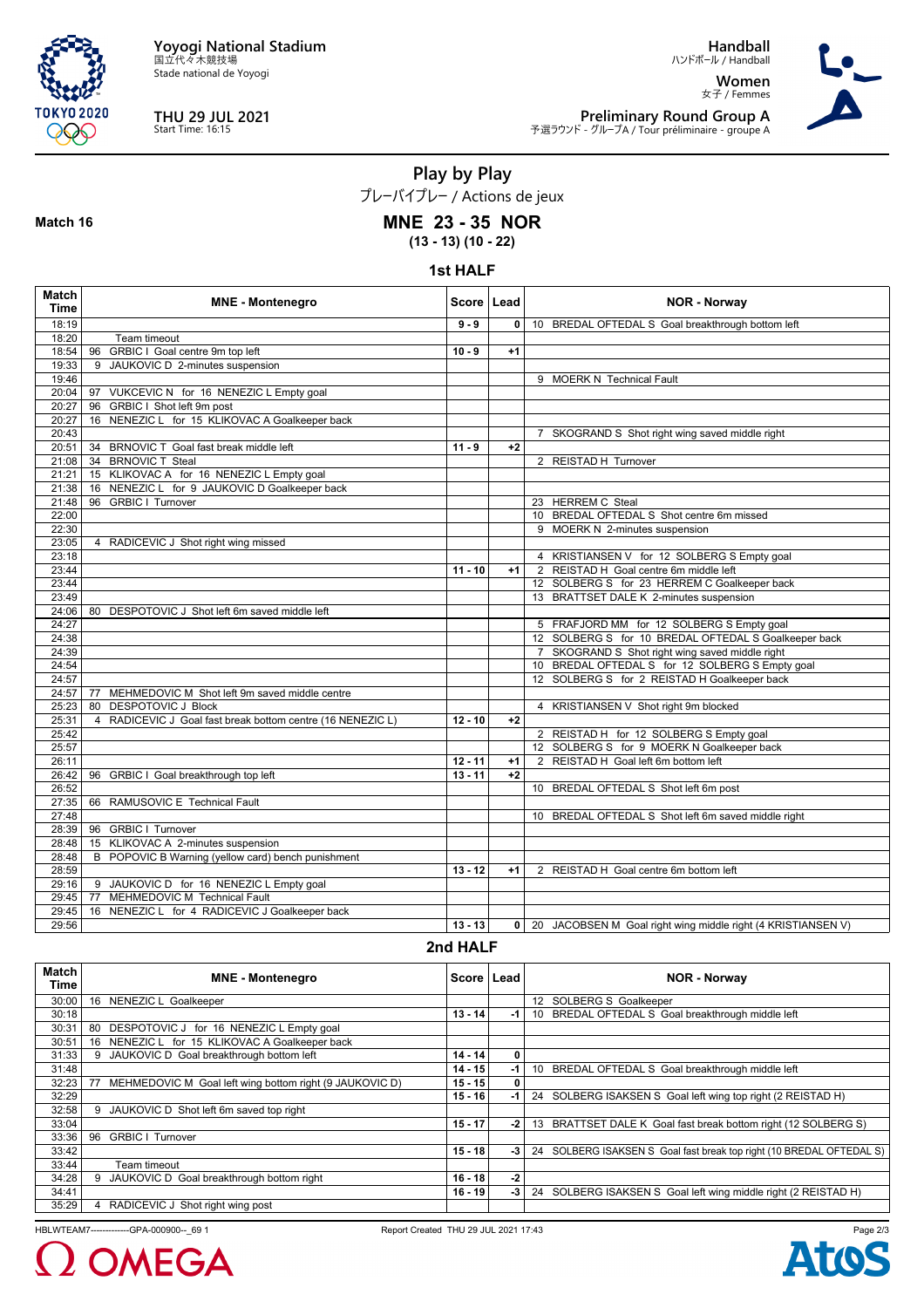

Stade national de Yoyogi



**Match 16**

# **THU 29 JUL 2021** Start Time: 16:15

**Handball**

ハンドボール / Handball **Women** 女子 / Femmes



**Preliminary Round Group A** 予選ラウンド - グループA / Tour préliminaire - groupe A

**Play by Play**

プレーバイプレー / Actions de jeux

## **MNE 23 - 35 NOR**

**(13 - 13) (10 - 22)**

## **1st HALF**

| Match<br><b>Time</b> | <b>MNE - Montenegro</b>                                    | Score   Lead |              | <b>NOR - Norway</b>                                          |
|----------------------|------------------------------------------------------------|--------------|--------------|--------------------------------------------------------------|
| 18:19                |                                                            | $9 - 9$      | $\mathbf{0}$ | 10 BREDAL OFTEDAL S Goal breakthrough bottom left            |
| 18:20                | Team timeout                                               |              |              |                                                              |
| 18:54                | 96 GRBIC I Goal centre 9m top left                         | $10 - 9$     | $+1$         |                                                              |
| 19:33                | 9 JAUKOVIC D 2-minutes suspension                          |              |              |                                                              |
| 19:46                |                                                            |              |              | 9 MOERK N Technical Fault                                    |
| 20:04                | 97 VUKCEVIC N for 16 NENEZIC L Empty goal                  |              |              |                                                              |
| 20:27                | 96 GRBIC I Shot left 9m post                               |              |              |                                                              |
| 20:27                | 16 NENEZIC L for 15 KLIKOVAC A Goalkeeper back             |              |              |                                                              |
| 20:43                |                                                            |              |              | 7 SKOGRAND S Shot right wing saved middle right              |
| 20:51                | 34 BRNOVIC T Goal fast break middle left                   | $11 - 9$     | $+2$         |                                                              |
| 21:08                | 34 BRNOVIC T Steal                                         |              |              | 2 REISTAD H Turnover                                         |
| 21:21                | 15 KLIKOVAC A for 16 NENEZIC L Empty goal                  |              |              |                                                              |
| 21:38                | 16 NENEZIC L for 9 JAUKOVIC D Goalkeeper back              |              |              |                                                              |
| 21:48                | <b>GRBIC I Turnover</b><br>96                              |              |              | 23 HERREM C Steal                                            |
| 22:00                |                                                            |              |              | 10 BREDAL OFTEDAL S Shot centre 6m missed                    |
| 22:30                |                                                            |              |              | 9 MOERK N 2-minutes suspension                               |
| 23:05                | 4 RADICEVIC J Shot right wing missed                       |              |              |                                                              |
| 23:18                |                                                            |              |              | 4 KRISTIANSEN V for 12 SOLBERG S Empty goal                  |
| 23:44                |                                                            | $11 - 10$    | $+1$         | 2 REISTAD H Goal centre 6m middle left                       |
| 23:44                |                                                            |              |              | 12 SOLBERG S for 23 HERREM C Goalkeeper back                 |
| 23:49                |                                                            |              |              | 13 BRATTSET DALE K 2-minutes suspension                      |
| 24:06                | 80 DESPOTOVIC J Shot left 6m saved middle left             |              |              |                                                              |
| 24:27                |                                                            |              |              | 5 FRAFJORD MM for 12 SOLBERG S Empty goal                    |
| 24:38                |                                                            |              |              | 12 SOLBERG S for 10 BREDAL OFTEDAL S Goalkeeper back         |
| 24:39                |                                                            |              |              | 7 SKOGRAND S Shot right wing saved middle right              |
| 24:54                |                                                            |              |              | 10 BREDAL OFTEDAL S for 12 SOLBERG S Empty goal              |
| 24:57                |                                                            |              |              | 12 SOLBERG S for 2 REISTAD H Goalkeeper back                 |
| 24:57                | MEHMEDOVIC M Shot left 9m saved middle centre<br>77        |              |              |                                                              |
| 25:23                | <b>DESPOTOVIC J Block</b><br>80                            |              |              | 4 KRISTIANSEN V Shot right 9m blocked                        |
| 25:31                | 4 RADICEVIC J Goal fast break bottom centre (16 NENEZIC L) | $12 - 10$    | $+2$         |                                                              |
| 25:42                |                                                            |              |              | 2 REISTAD H for 12 SOLBERG S Empty goal                      |
| 25:57                |                                                            |              |              | 12 SOLBERG S for 9 MOERK N Goalkeeper back                   |
| 26:11                |                                                            | $12 - 11$    | $+1$         | 2 REISTAD H Goal left 6m bottom left                         |
| 26:42                | 96 GRBIC I Goal breakthrough top left                      | $13 - 11$    | $+2$         |                                                              |
| 26:52                |                                                            |              |              | 10 BREDAL OFTEDAL S Shot left 6m post                        |
| 27:35                | 66 RAMUSOVIC E Technical Fault                             |              |              |                                                              |
| 27:48                |                                                            |              |              | 10 BREDAL OFTEDAL S Shot left 6m saved middle right          |
| 28:39                | 96 GRBIC I Turnover                                        |              |              |                                                              |
| 28:48                | 15 KLIKOVAC A 2-minutes suspension                         |              |              |                                                              |
| 28:48                | POPOVIC B Warning (yellow card) bench punishment<br>B      |              |              |                                                              |
| 28:59                |                                                            | $13 - 12$    | $+1$         | 2 REISTAD H Goal centre 6m bottom left                       |
| 29:16                | 9 JAUKOVIC D for 16 NENEZIC L Empty goal                   |              |              |                                                              |
| 29:45                | MEHMEDOVIC M Technical Fault<br>77                         |              |              |                                                              |
| 29:45                | 16 NENEZIC L for 4 RADICEVIC J Goalkeeper back             |              |              |                                                              |
| 29:56                |                                                            | $13 - 13$    | $\mathbf{0}$ | 20 JACOBSEN M Goal right wing middle right (4 KRISTIANSEN V) |

**2nd HALF**

| <b>Match</b><br>Time | <b>MNE - Montenegro</b>                                 | Score   Lead |    | <b>NOR - Norway</b>                                                  |
|----------------------|---------------------------------------------------------|--------------|----|----------------------------------------------------------------------|
| 30:00                | NENEZIC L Goalkeeper<br>16                              |              |    | 12 SOLBERG S Goalkeeper                                              |
| 30:18                |                                                         | $13 - 14$    | -1 | BREDAL OFTEDAL S Goal breakthrough middle left<br>10                 |
| 30:31                | 80<br>DESPOTOVIC J for 16 NENEZIC L Empty goal          |              |    |                                                                      |
| 30:51                | NENEZIC L for 15 KLIKOVAC A Goalkeeper back<br>16       |              |    |                                                                      |
| 31:33                | JAUKOVIC D Goal breakthrough bottom left                | $14 - 14$    | 0  |                                                                      |
| 31:48                |                                                         | $14 - 15$    | -1 | 10 BREDAL OFTEDAL S Goal breakthrough middle left                    |
| 32:23                | MEHMEDOVIC M Goal left wing bottom right (9 JAUKOVIC D) | $15 - 15$    | 0  |                                                                      |
| 32:29                |                                                         | $15 - 16$    | -1 | 24 SOLBERG ISAKSEN S Goal left wing top right (2 REISTAD H)          |
| 32:58                | JAUKOVIC D Shot left 6m saved top right<br>9            |              |    |                                                                      |
| 33:04                |                                                         | $15 - 17$    | -2 | 13 BRATTSET DALE K Goal fast break bottom right (12 SOLBERG S)       |
| 33:36                | 96<br><b>GRBIC I Turnover</b>                           |              |    |                                                                      |
| 33:42                |                                                         | $15 - 18$    | -3 | 24 SOLBERG ISAKSEN S Goal fast break top right (10 BREDAL OFTEDAL S) |
| 33:44                | Team timeout                                            |              |    |                                                                      |
| 34:28                | JAUKOVIC D Goal breakthrough bottom right               | $16 - 18$    | -2 |                                                                      |
| 34:41                |                                                         | $16 - 19$    | -3 | 24 SOLBERG ISAKSEN S Goal left wing middle right (2 REISTAD H)       |
| 35:29                | RADICEVIC J Shot right wing post                        |              |    |                                                                      |

HBLWTEAM7-------------GPA-000900--\_69 1 Report Created THU 29 JUL 2021 17:43